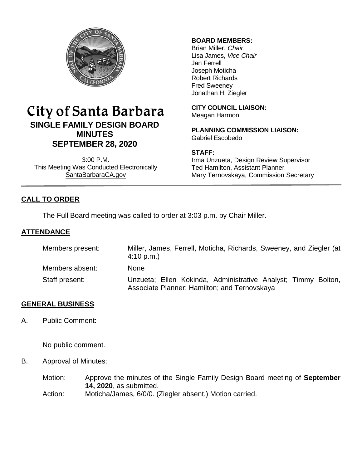

# City of Santa Barbara **SINGLE FAMILY DESIGN BOARD MINUTES SEPTEMBER 28, 2020**

3:00 P.M. This Meeting Was Conducted Electronically [SantaBarbaraCA.gov](http://www.santabarbaraca.gov/)

# **BOARD MEMBERS:**

Brian Miller, *Chair* Lisa James, *Vice Chair* Jan Ferrell Joseph Moticha Robert Richards Fred Sweeney Jonathan H. Ziegler

**CITY COUNCIL LIAISON:** Meagan Harmon

**PLANNING COMMISSION LIAISON:** Gabriel Escobedo

### **STAFF:**

Irma Unzueta, Design Review Supervisor Ted Hamilton, Assistant Planner Mary Ternovskaya, Commission Secretary

# **CALL TO ORDER**

The Full Board meeting was called to order at 3:03 p.m. by Chair Miller.

# **ATTENDANCE**

| Members present: | Miller, James, Ferrell, Moticha, Richards, Sweeney, and Ziegler (at<br>4:10 p.m.                              |
|------------------|---------------------------------------------------------------------------------------------------------------|
| Members absent:  | <b>None</b>                                                                                                   |
| Staff present:   | Unzueta; Ellen Kokinda, Administrative Analyst; Timmy Bolton,<br>Associate Planner; Hamilton; and Ternovskaya |

# **GENERAL BUSINESS**

A. Public Comment:

No public comment.

B. Approval of Minutes:

Motion: Approve the minutes of the Single Family Design Board meeting of **September 14, 2020**, as submitted. Action: Moticha/James, 6/0/0. (Ziegler absent.) Motion carried.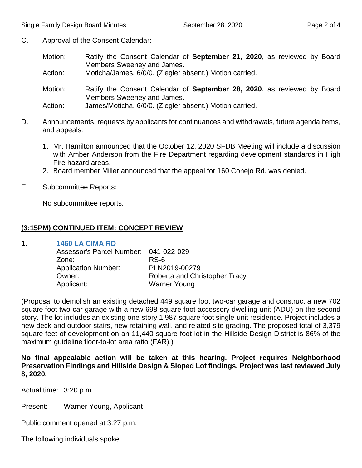- C. Approval of the Consent Calendar:
	- Motion: Ratify the Consent Calendar of **September 21, 2020**, as reviewed by Board Members Sweeney and James.

Action: Moticha/James, 6/0/0. (Ziegler absent.) Motion carried.

Motion: Ratify the Consent Calendar of **September 28, 2020**, as reviewed by Board Members Sweeney and James.

Action: James/Moticha, 6/0/0. (Ziegler absent.) Motion carried.

- D. Announcements, requests by applicants for continuances and withdrawals, future agenda items, and appeals:
	- 1. Mr. Hamilton announced that the October 12, 2020 SFDB Meeting will include a discussion with Amber Anderson from the Fire Department regarding development standards in High Fire hazard areas.
	- 2. Board member Miller announced that the appeal for 160 Conejo Rd. was denied.
- E. Subcommittee Reports:

No subcommittee reports.

#### **(3:15PM) CONTINUED ITEM: CONCEPT REVIEW**

**1. [1460 LA CIMA RD](https://www.santabarbaraca.gov/SBdocuments/Advisory_Groups/Single_Family_Design_Board/Archive/2020_Archives/03_Architectural_Drawings/2020-09-28_September_28_2020_1460_La_Cima.pdf)**

| Assessor's Parcel Number: 041-022-029 |                               |
|---------------------------------------|-------------------------------|
| Zone:                                 | RS-6                          |
| <b>Application Number:</b>            | PLN2019-00279                 |
| Owner:                                | Roberta and Christopher Tracy |
| Applicant:                            | <b>Warner Young</b>           |
|                                       |                               |

(Proposal to demolish an existing detached 449 square foot two-car garage and construct a new 702 square foot two-car garage with a new 698 square foot accessory dwelling unit (ADU) on the second story. The lot includes an existing one-story 1,987 square foot single-unit residence. Project includes a new deck and outdoor stairs, new retaining wall, and related site grading. The proposed total of 3,379 square feet of development on an 11,440 square foot lot in the Hillside Design District is 86% of the maximum guideline floor-to-lot area ratio (FAR).)

**No final appealable action will be taken at this hearing. Project requires Neighborhood Preservation Findings and Hillside Design & Sloped Lot findings. Project was last reviewed July 8, 2020.**

Actual time: 3:20 p.m.

Present: Warner Young, Applicant

Public comment opened at 3:27 p.m.

The following individuals spoke: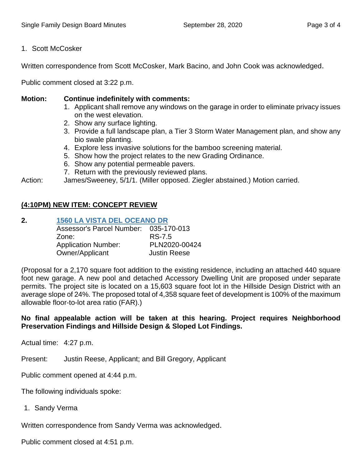### 1. Scott McCosker

Written correspondence from Scott McCosker, Mark Bacino, and John Cook was acknowledged.

Public comment closed at 3:22 p.m.

#### **Motion: Continue indefinitely with comments:**

- 1. Applicant shall remove any windows on the garage in order to eliminate privacy issues on the west elevation.
- 2. Show any surface lighting.
- 3. Provide a full landscape plan, a Tier 3 Storm Water Management plan, and show any bio swale planting.
- 4. Explore less invasive solutions for the bamboo screening material.
- 5. Show how the project relates to the new Grading Ordinance.
- 6. Show any potential permeable pavers.
- 7. Return with the previously reviewed plans.

Action: James/Sweeney, 5/1/1. (Miller opposed. Ziegler abstained.) Motion carried.

# **(4:10PM) NEW ITEM: CONCEPT REVIEW**

**2. [1560 LA VISTA DEL OCEANO DR](https://www.santabarbaraca.gov/SBdocuments/Advisory_Groups/Single_Family_Design_Board/Archive/2020_Archives/03_Architectural_Drawings/2020-09-28_September_28_2020_1560_La_Vista_Del_Oceano.pdf)** Assessor's Parcel Number: 035-170-013 Zone: RS-7.5 Application Number: PLN2020-00424 Owner/Applicant Justin Reese

(Proposal for a 2,170 square foot addition to the existing residence, including an attached 440 square foot new garage. A new pool and detached Accessory Dwelling Unit are proposed under separate permits. The project site is located on a 15,603 square foot lot in the Hillside Design District with an average slope of 24%. The proposed total of 4,358 square feet of development is 100% of the maximum allowable floor-to-lot area ratio (FAR).)

### **No final appealable action will be taken at this hearing. Project requires Neighborhood Preservation Findings and Hillside Design & Sloped Lot Findings.**

Actual time: 4:27 p.m.

Present: Justin Reese, Applicant; and Bill Gregory, Applicant

Public comment opened at 4:44 p.m.

The following individuals spoke:

1. Sandy Verma

Written correspondence from Sandy Verma was acknowledged.

Public comment closed at 4:51 p.m.